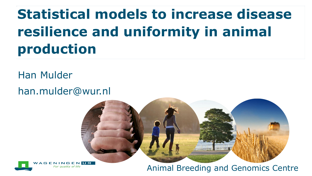# **Statistical models to increase disease resilience and uniformity in animal production**

Han Mulder

han.mulder@wur.nl





Animal Breeding and Genomics Centre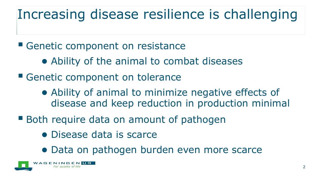## Increasing disease resilience is challenging

Genetic component on resistance

- Ability of the animal to combat diseases
- Genetic component on tolerance
	- Ability of animal to minimize negative effects of disease and keep reduction in production minimal
- **Both require data on amount of pathogen** 
	- Disease data is scarce
	- Data on pathogen burden even more scarce

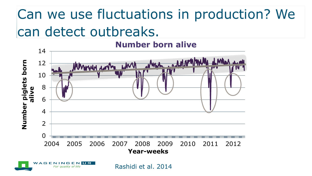# Can we use fluctuations in production? We can detect outbreaks.

#### **Number born alive**



Rashidi et al. 2014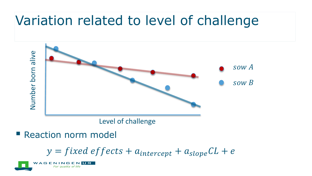### Variation related to level of challenge



Level of challenge

**Reaction norm model** 

 $y = fixed$  effects +  $a_{intercept} + a_{slope}CL + e$ 

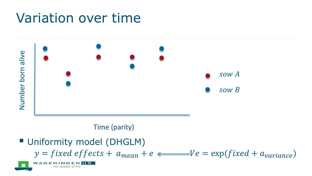### Variation over time



#### Time (parity)

**Uniformity model (DHGLM)**  $y = fixed \, effects + a_{mean} + e \,$   $\longleftarrow$   $Ve = \exp(fixed + a_{variance})$ **NAGENIN** UR For quality of life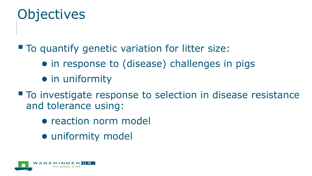### **Objectives**

■ To quantify genetic variation for litter size:

- in response to (disease) challenges in pigs
- in uniformity
- To investigate response to selection in disease resistance and tolerance using:
	- reaction norm model
	- uniformity model

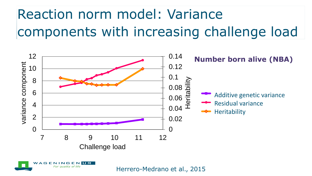# Reaction norm model: Variance components with increasing challenge load



A G E UR.

Herrero-Medrano et al., 2015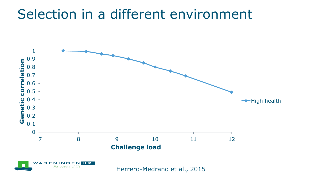#### Selection in a different environment

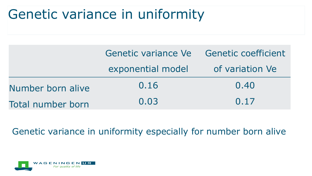## Genetic variance in uniformity

|                          | Genetic variance Ve Genetic coefficient |                 |  |
|--------------------------|-----------------------------------------|-----------------|--|
|                          | exponential model                       | of variation Ve |  |
| Number born alive        | 0.16                                    | 0.40            |  |
| <b>Total number born</b> | 0.03                                    | 0.17            |  |

Genetic variance in uniformity especially for number born alive

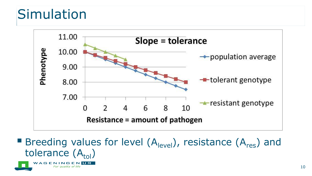### **Simulation**

**AGENIN** 



**Breeding values for level**  $(A<sub>level</sub>)$ , resistance  $(A<sub>res</sub>)$  and tolerance  $(A_{tol})$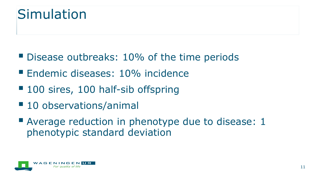#### **Simulation**

- Disease outbreaks: 10% of the time periods
- **Endemic diseases: 10% incidence**
- 100 sires, 100 half-sib offspring
- 10 observations/animal
- Average reduction in phenotype due to disease: 1 phenotypic standard deviation

![](_page_10_Picture_6.jpeg)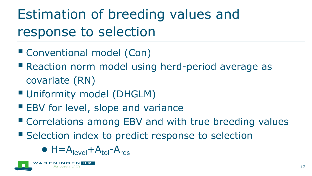Estimation of breeding values and response to selection

- Conventional model (Con)
- **Reaction norm model using herd-period average as** covariate (RN)
- Uniformity model (DHGLM)
- **EBV for level, slope and variance**
- Correlations among EBV and with true breeding values
- Selection index to predict response to selection

 $\bullet$  H=A<sub>level</sub>+A<sub>tol</sub>-A<sub>res</sub>

![](_page_11_Picture_8.jpeg)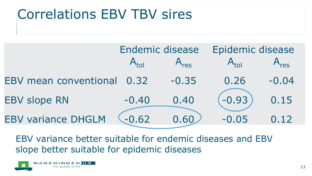### Correlations EBV TBV sires

|                            | <b>Endemic disease</b> |         | Epidemic disease |         |
|----------------------------|------------------------|---------|------------------|---------|
|                            |                        |         |                  |         |
| EBV mean conventional 0.32 |                        | $-0.35$ | 0.26             | $-0.04$ |
| <b>EBV slope RN</b>        | $-0.40$                | 0.40    | $-0.93$          | 0.15    |
| <b>EBV variance DHGLM</b>  | $-0.62$                | 0.60    | $-0.05$          | 0.12    |

EBV variance better suitable for endemic diseases and EBV slope better suitable for epidemic diseases

![](_page_12_Picture_3.jpeg)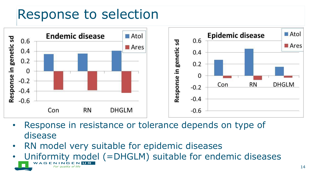#### Response to selection

![](_page_13_Figure_1.jpeg)

- Response in resistance or tolerance depends on type of disease
- RN model very suitable for epidemic diseases
- Uniformity model (=DHGLM) suitable for endemic diseasesA G E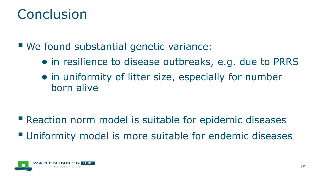### **Conclusion**

We found substantial genetic variance:

- in resilience to disease outbreaks, e.g. due to PRRS
- in uniformity of litter size, especially for number born alive

**E** Reaction norm model is suitable for epidemic diseases **Uniformity model is more suitable for endemic diseases** 

![](_page_14_Picture_5.jpeg)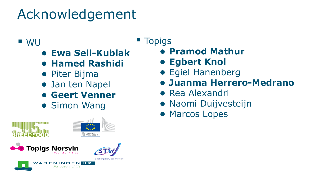# Acknowledgement

#### ■ WU

- **Ewa Sell-Kubiak**
- **Hamed Rashidi**
- Piter Bijma
- Jan ten Napel
- **Geert Venner**
- Simon Wang

![](_page_15_Figure_8.jpeg)

#### **Topigs**

- **Pramod Mathur**
- **Egbert Knol**
- Egiel Hanenberg
- **Juanma Herrero-Medrano**
- Rea Alexandri
- Naomi Duijvesteijn
- Marcos Lopes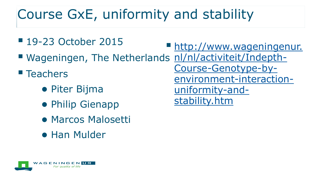# Course GxE, uniformity and stability

- 19-23 October 2015 ■ Wageningen, The Netherlands [nl/nl/activiteit/Indepth-](http://www.wageningenur.nl/nl/activiteit/Indepth-Course-Genotype-by-environment-interaction-uniformity-and-stability.htm) $\blacksquare$  Teachers ● Piter Bijma ● Philip Gienapp **[http://www.wageningenur.](http://www.wageningenur.nl/nl/activiteit/Indepth-Course-Genotype-by-environment-interaction-uniformity-and-stability.htm)** [Course-Genotype-by](http://www.wageningenur.nl/nl/activiteit/Indepth-Course-Genotype-by-environment-interaction-uniformity-and-stability.htm)[environment-interaction](http://www.wageningenur.nl/nl/activiteit/Indepth-Course-Genotype-by-environment-interaction-uniformity-and-stability.htm)[uniformity-and](http://www.wageningenur.nl/nl/activiteit/Indepth-Course-Genotype-by-environment-interaction-uniformity-and-stability.htm)[stability.htm](http://www.wageningenur.nl/nl/activiteit/Indepth-Course-Genotype-by-environment-interaction-uniformity-and-stability.htm)
	- Marcos Malosetti
	- Han Mulder